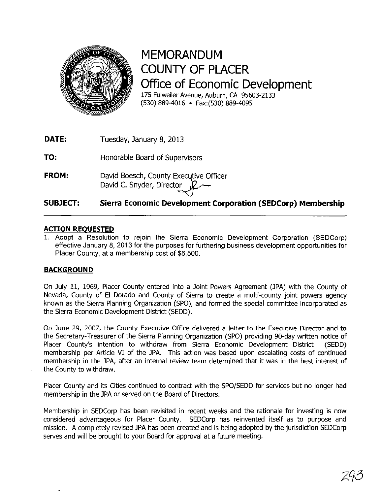

## **MEMORANDUM COUNTY OF PLACER Office of Economic Development**  175 Fulweiler Avenue, Auburn, CA 95603-2133 (530) 889-4016 • Fax:(530) 889-4095

**DATE:**  Tuesday, January 8, 2013

**TO:**  Honorable Board of Supervisors

**FROM:**  David Boesch, County Executive Officer David C. Snyder, Director

#### **SUBJECT: Sierra Economic Development Corporation (SEDCorp) Membership**

### **ACTION REOUESTED**

1. Adopt a Resolution to rejoin the Sierra Economic Development Corporation (SEDCorp) effective January 8, 2013 for the purposes for furthering business development opportunities for Placer County, at a membership cost of \$6,500.

### **BACKGROUND**

On July 11, 1969, Placer County entered into a Joint Powers Agreement (JPA) with the County of Nevada, County of EI Dorado and County of Sierra to create a mUlti-county joint powers agency known as the Sierra Planning Organization (SPO), and formed the special committee incorporated as the Sierra Economic Development District (SEDD).

On June 29, 2007, the County Executive Office delivered a letter to the Executive Director and to the Secretary-Treasurer of the Sierra Planning Organization (SPO) providing 90-day written notice of Placer County's intention to withdraw from Sierra Economic Development District (SEDD) membership per Article VI of the JPA. This action was based upon escalating costs of continued membership in the JPA, after an internal review team determined that it was in the best interest of the County to withdraw.

Placer County and its Cities continued to contract with the SPO/SEDD for services but no longer had membership in the JPA or served on the Board of Directors.

Membership in SEDCorp has been revisited in recent weeks and the rationale for investing is now considered advantageous for Placer County. SEDCorp has reinvented itself as to purpose and mission. A completely revised JPA has been created and is being adopted by the jurisdiction SEDCorp serves and will be brought to your Board for approval at a future meeting.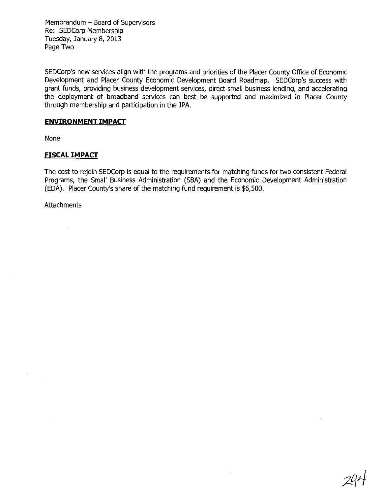Memorandum - Board of Supervisors Re: SEDCorp Membership Tuesday, January 8, 2013 Page Two

SEDCorp's new services align with the programs and priorities of the Placer County Office of Economic Development and Placer County Economic Development Board Roadmap. SEDCorp's success with grant funds, providing business development services, direct small business lending, and accelerating the deployment of broadband services can best be supported and maximized in Placer County through membership and participation in the JPA.

#### ENVIRONMENT IMPACT

None

#### **FISCAL IMPACT**

The cost to rejoin SEDCorp is equal to the requirements for matching funds for two consistent Federal Programs, the Small Business Administration (SBA) and the Economic Development Administration (EDA). Placer County's share of the matching fund requirement is \$6,500.

**Attachments** 

 $\sim$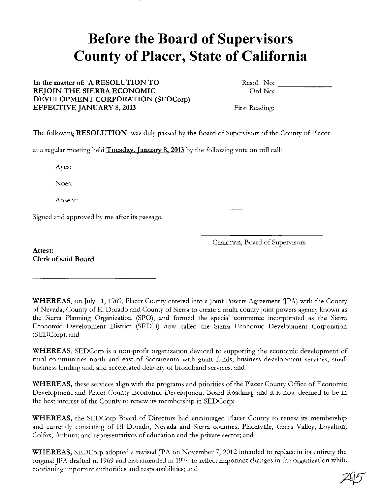# **Before the Board of Supervisors County of Placer, State of California**

#### In the matter of: A RESOLUTION TO REJOIN THE SIERRA ECONOMIC DEVELOPMENT CORPORATION (SEDCorp) EFFECTIVE JANUARY 8, 2013

Resol. No: Ord No: -------

First Reading:

The following **RESOLUTION** was duly passed by the Board of Supervisors of the County of Placer

at a regular meeting held Tuesday. Ianuaty 8. 2013 by the following vote on roll call:

Ayes:

Noes:

Absent:

Signed and approved by me after its passage.

Chairman, Board of Supervisors

Attest: Clerk of said Board

WHEREAS, on July 11, 1969, Placer County entered into a Joint Powers Agreement (JPA) with the County of Nevada, County of El Dorado and County of Sierra to create a multi-county joint powers agency known as the Sierra Planning Organization (SPO), and formed the special committee incorporated as the Sierra Economic Development District (SEDD) now called the Sierra Economic Development Corporation (SEDCorp); and

WHEREAS, SEDCorp is a non-profit organization devoted to supporting the economic development of rural communities north and east of Sacramento with grant funds, business development services, small business lending and, and accelerated delivery of broadband services; and

WHEREAS, these services align with the programs and priorities of the Placer County Office of Economic Development and Placer County Economic Development Board Roadmap and it is now deemed to be in the best interest of the County to renew its membership in SEDCorp;

WHEREAS, the SEDCorp Board of Directors had encouraged Placer County to renew its membership and currently consisting of El Dorado, Nevada and Sierra counties; Placerville, Grass Valley, Loyalton, Colfax, Auburn; and representatives of education and the private sector; and

WHEREAS, SEDCorp adopted a revised JPA on November 7, 2012 intended to replace in its entirety the original JPA drafted in 1969 and last amended in 1974 to reflect important changes in the organization while continuing important authorities and responsibilities; and